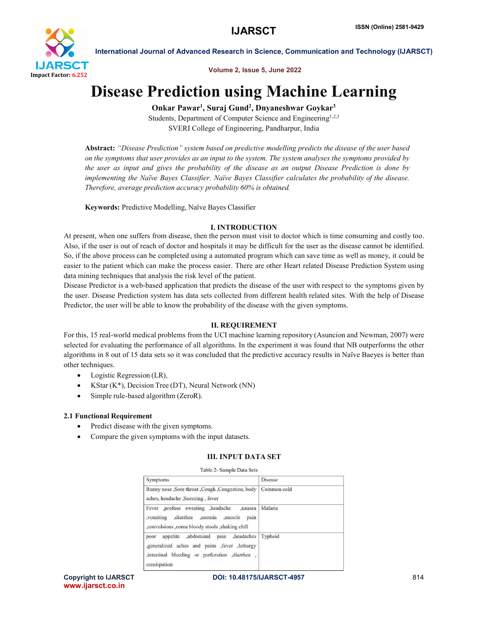

Volume 2, Issue 5, June 2022

# Disease Prediction using Machine Learning

Onkar Pawar<sup>1</sup>, Suraj Gund<sup>2</sup>, Dnyaneshwar Goykar<sup>3</sup>

Students, Department of Computer Science and Engineering<sup>1,2,3</sup> SVERI College of Engineering, Pandharpur, India

Abstract: *"Disease Prediction" system based on predictive modelling predicts the disease of the user based on the symptoms that user provides as an input to the system. The system analyses the symptoms provided by the user as input and gives the probability of the disease as an output Disease Prediction is done by implementing the Naïve Bayes Classifier. Naïve Bayes Classifier calculates the probability of the disease. Therefore, average prediction accuracy probability 60% is obtained.*

Keywords: Predictive Modelling, Naïve Bayes Classifier

## I. INTRODUCTION

At present, when one suffers from disease, then the person must visit to doctor which is time consuming and costly too. Also, if the user is out of reach of doctor and hospitals it may be difficult for the user as the disease cannot be identified. So, if the above process can be completed using a automated program which can save time as well as money, it could be easier to the patient which can make the process easier. There are other Heart related Disease Prediction System using data mining techniques that analysis the risk level of the patient.

Disease Predictor is a web-based application that predicts the disease of the user with respect to the symptoms given by the user. Disease Prediction system has data sets collected from different health related sites. With the help of Disease Predictor, the user will be able to know the probability of the disease with the given symptoms.

# II. REQUIREMENT

For this, 15 real-world medical problems from the UCI machine learning repository (Asuncion and Newman, 2007) were selected for evaluating the performance of all algorithms. In the experiment it was found that NB outperforms the other algorithms in 8 out of 15 data sets so it was concluded that the predictive accuracy results in Naïve Baeyes is better than other techniques.

- Logistic Regression (LR),
- KStar (K\*), Decision Tree (DT), Neural Network (NN)
- Simple rule-based algorithm (ZeroR).

### 2.1 Functional Requirement

- Predict disease with the given symptoms.
- Compare the given symptoms with the input datasets.

### III. INPUT DATA SET

| Symptoms                                                                                                                                                     | Disease     |  |
|--------------------------------------------------------------------------------------------------------------------------------------------------------------|-------------|--|
| Runny nose , Sore throat , Cough , Congestion, body<br>aches, headache, Sneezing, fever                                                                      | Common cold |  |
| Fever ,profuse sweating ,headache<br>.nausea<br>.vomiting<br>diarrhea .anemia<br>muscle,<br>pain<br>convulsions coma bloody stools shaking chill             | Malaria     |  |
| appetite ,abdominal pain ,headaches<br>poor<br>generalized aches and pains fever lethargy<br>, intestinal bleeding or perforation , diarrhea<br>constipation | Typhoid     |  |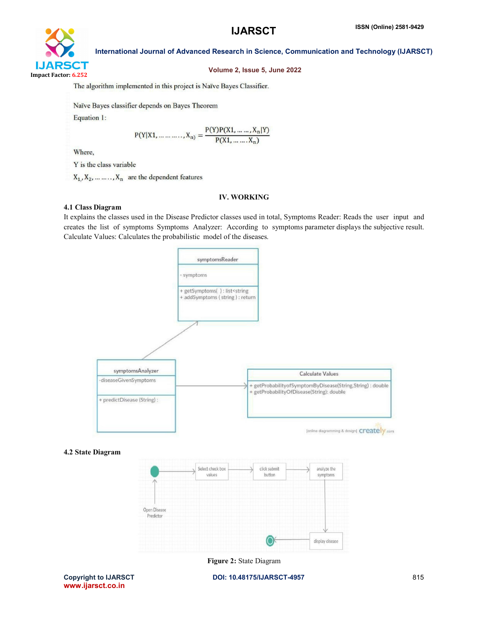

### Volume 2, Issue 5, June 2022

The algorithm implemented in this project is Naïve Bayes Classifier.

Naïve Bayes classifier depends on Bayes Theorem Equation 1:

$$
P(Y|X1, \dots, X_n) = \frac{P(Y)P(X1, \dots, X_n|Y)}{P(X1, \dots, X_n)}
$$

Where,

Y is the class variable

 $X_1, X_2, \ldots, X_n$  are the dependent features

#### IV. WORKING

#### 4.1 Class Diagram

It explains the classes used in the Disease Predictor classes used in total, Symptoms Reader: Reads the user input and creates the list of symptoms Symptoms Analyzer: According to symptoms parameter displays the subjective result. Calculate Values: Calculates the probabilistic model of the diseases.



#### 4.2 State Diagram



Figure 2: State Diagram

www.ijarsct.co.in

Copyright to IJARSCT **DOI: 10.48175/IJARSCT-4957** 815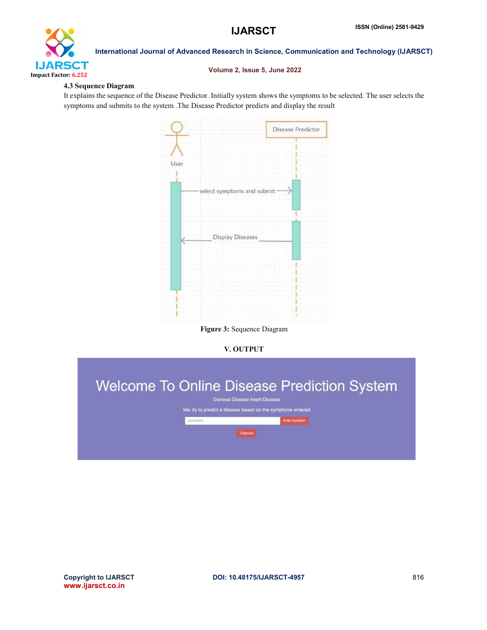

#### Volume 2, Issue 5, June 2022

#### 4.3 Sequence Diagram

It explains the sequence of the Disease Predictor. Initially system shows the symptoms to be selected. The user selects the symptoms and submits to the system .The Disease Predictor predicts and display the result



Figure 3: Sequence Diagram

### V. OUTPUT

|                                                           |          | <b>Welcome To Online Disease Prediction System</b> |  |  |  |  |  |  |
|-----------------------------------------------------------|----------|----------------------------------------------------|--|--|--|--|--|--|
|                                                           |          | <b>General Disease heart Disease</b>               |  |  |  |  |  |  |
| We try to predict a disease based on the symptoms entered |          |                                                    |  |  |  |  |  |  |
|                                                           | Symptoms | <b>Enter Symptom</b>                               |  |  |  |  |  |  |
|                                                           | Diagnose |                                                    |  |  |  |  |  |  |
|                                                           |          |                                                    |  |  |  |  |  |  |
|                                                           |          |                                                    |  |  |  |  |  |  |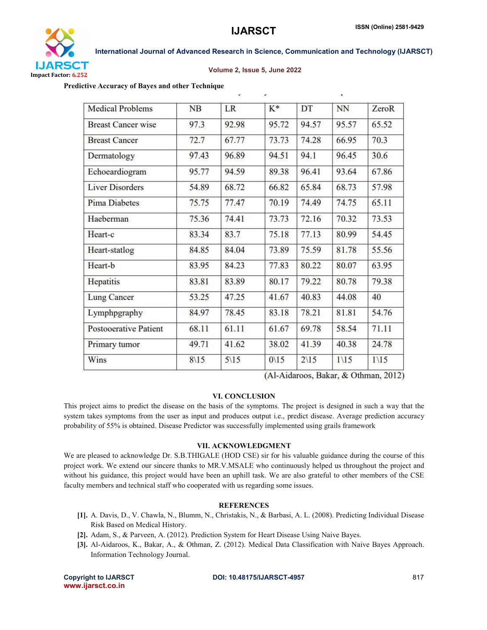

#### Volume 2, Issue 5, June 2022

Predictive Accuracy of Bayes and other Technique

| <b>Medical Problems</b>      | NB              | <b>LR</b>       | $K^*$           | DT              | NN              | ZeroR           |
|------------------------------|-----------------|-----------------|-----------------|-----------------|-----------------|-----------------|
| <b>Breast Cancer wise</b>    | 97.3            | 92.98           | 95.72           | 94.57           | 95.57           | 65.52           |
| <b>Breast Cancer</b>         | 72.7            | 67.77           | 73.73           | 74.28           | 66.95           | 70.3            |
| Dermatology                  | 97.43           | 96.89           | 94.51           | 94.1            | 96.45           | 30.6            |
| Echoeardiogram               | 95.77           | 94.59           | 89.38           | 96.41           | 93.64           | 67.86           |
| <b>Liver Disorders</b>       | 54.89           | 68.72           | 66.82           | 65.84           | 68.73           | 57.98           |
| <b>Pima Diabetes</b>         | 75.75           | 77.47           | 70.19           | 74.49           | 74.75           | 65.11           |
| Haeberman                    | 75.36           | 74.41           | 73.73           | 72.16           | 70.32           | 73.53           |
| Heart-c                      | 83.34           | 83.7            | 75.18           | 77.13           | 80.99           | 54.45           |
| Heart-statlog                | 84.85           | 84.04           | 73.89           | 75.59           | 81.78           | 55.56           |
| Heart-b                      | 83.95           | 84.23           | 77.83           | 80.22           | 80.07           | 63.95           |
| Hepatitis                    | 83.81           | 83.89           | 80.17           | 79.22           | 80.78           | 79.38           |
| <b>Lung Cancer</b>           | 53.25           | 47.25           | 41.67           | 40.83           | 44.08           | 40              |
| Lymphpgraphy                 | 84.97           | 78.45           | 83.18           | 78.21           | 81.81           | 54.76           |
| <b>Postooerative Patient</b> | 68.11           | 61.11           | 61.67           | 69.78           | 58.54           | 71.11           |
| Primary tumor                | 49.71           | 41.62           | 38.02           | 41.39           | 40.38           | 24.78           |
| Wins                         | $8\backslash15$ | $5\backslash15$ | $0\backslash15$ | $2\backslash15$ | $1\backslash15$ | $1\backslash15$ |

(Al-Aidaroos, Bakar, & Othman, 2012)

#### VI. CONCLUSION

This project aims to predict the disease on the basis of the symptoms. The project is designed in such a way that the system takes symptoms from the user as input and produces output i.e., predict disease. Average prediction accuracy probability of 55% is obtained. Disease Predictor was successfully implemented using grails framework

#### VII. ACKNOWLEDGMENT

We are pleased to acknowledge Dr. S.B.THIGALE (HOD CSE) sir for his valuable guidance during the course of this project work. We extend our sincere thanks to MR.V.MSALE who continuously helped us throughout the project and without his guidance, this project would have been an uphill task. We are also grateful to other members of the CSE faculty members and technical staff who cooperated with us regarding some issues.

#### **REFERENCES**

- [1]. A. Davis, D., V. Chawla, N., Blumm, N., Christakis, N., & Barbasi, A. L. (2008). Predicting Individual Disease Risk Based on Medical History.
- [2]. Adam, S., & Parveen, A. (2012). Prediction System for Heart Disease Using Naive Bayes.
- [3]. Al-Aidaroos, K., Bakar, A., & Othman, Z. (2012). Medical Data Classification with Naive Bayes Approach. Information Technology Journal.

www.ijarsct.co.in

Copyright to IJARSCT **DOI: 10.48175/IJARSCT-4957** 817